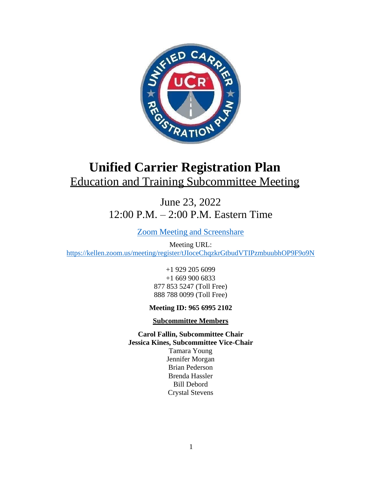

# **Unified Carrier Registration Plan** Education and Training Subcommittee Meeting

June 23, 2022 12:00 P.M. – 2:00 P.M. Eastern Time

Zoom Meeting and [Screenshare](https://kellen.zoom.us/meeting/register/tJIqduCvqDgtG9GwZFBrRxxswAZ75TLj54KL)

Meeting URL: <https://kellen.zoom.us/meeting/register/tJIoceChqzkrGtbudVTIPzmbuubhOP9F9o9N>

> +1 929 205 6099 +1 669 900 6833 877 853 5247 (Toll Free) 888 788 0099 (Toll Free)

## **Meeting ID: 965 6995 2102**

## **Subcommittee Members**

**Carol Fallin, Subcommittee Chair Jessica Kines, Subcommittee Vice-Chair** Tamara Young Jennifer Morgan Brian Pederson Brenda Hassler Bill Debord Crystal Stevens